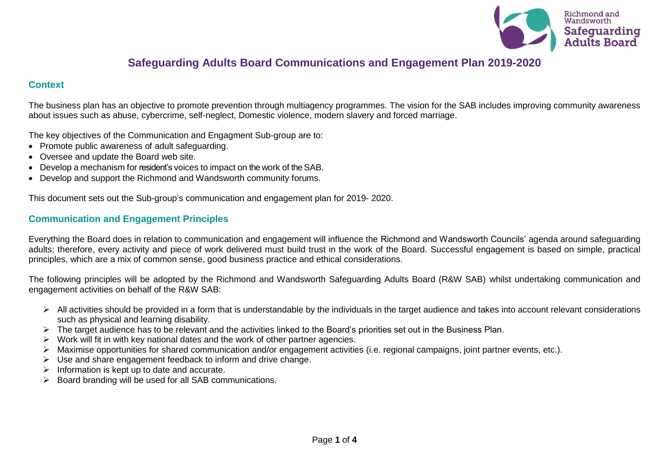

# **Safeguarding Adults Board Communications and Engagement Plan 2019-2020**

#### **Context**

The business plan has an objective to promote prevention through multiagency programmes. The vision for the SAB includes improving community awareness about issues such as abuse, cybercrime, self-neglect, Domestic violence, modern slavery and forced marriage.

The key objectives of the Communication and Engagment Sub-group are to:

- Promote public awareness of adult safeguarding.
- Oversee and update the Board web site.
- Develop a mechanism for resident's voices to impact on the work of the SAB.
- Develop and support the Richmond and Wandsworth community forums.

This document sets out the Sub-group's communication and engagement plan for 2019- 2020.

#### **Communication and Engagement Principles**

Everything the Board does in relation to communication and engagement will influence the Richmond and Wandsworth Councils' agenda around safeguarding adults; therefore, every activity and piece of work delivered must build trust in the work of the Board. Successful engagement is based on simple, practical principles, which are a mix of common sense, good business practice and ethical considerations.

The following principles will be adopted by the Richmond and Wandsworth Safeguarding Adults Board (R&W SAB) whilst undertaking communication and engagement activities on behalf of the R&W SAB:

- ➢ All activities should be provided in a form that is understandable by the individuals in the target audience and takes into account relevant considerations such as physical and learning disability.
- ➢ The target audience has to be relevant and the activities linked to the Board's priorities set out in the Business Plan.
- $\triangleright$  Work will fit in with key national dates and the work of other partner agencies.
- ➢ Maximise opportunities for shared communication and/or engagement activities (i.e. regional campaigns, joint partner events, etc.).
- $\triangleright$  Use and share engagement feedback to inform and drive change.
- $\triangleright$  Information is kept up to date and accurate.
- ➢ Board branding will be used for all SAB communications.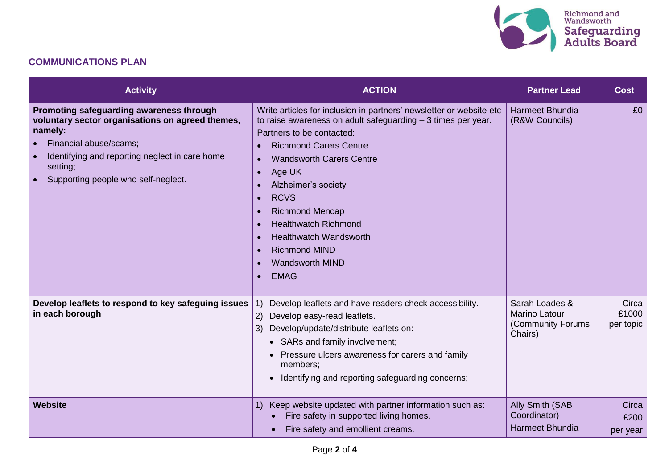

### **COMMUNICATIONS PLAN**

| <b>Activity</b>                                                                                                                                                                                                                        | <b>ACTION</b>                                                                                                                                                                                                                                                                                                                                                                                                                                                                                                                  | <b>Partner Lead</b>                                                    | <b>Cost</b>                 |
|----------------------------------------------------------------------------------------------------------------------------------------------------------------------------------------------------------------------------------------|--------------------------------------------------------------------------------------------------------------------------------------------------------------------------------------------------------------------------------------------------------------------------------------------------------------------------------------------------------------------------------------------------------------------------------------------------------------------------------------------------------------------------------|------------------------------------------------------------------------|-----------------------------|
| Promoting safeguarding awareness through<br>voluntary sector organisations on agreed themes,<br>namely:<br>Financial abuse/scams;<br>Identifying and reporting neglect in care home<br>setting;<br>Supporting people who self-neglect. | Write articles for inclusion in partners' newsletter or website etc<br>to raise awareness on adult safeguarding $-3$ times per year.<br>Partners to be contacted:<br><b>Richmond Carers Centre</b><br><b>Wandsworth Carers Centre</b><br>$\bullet$<br>Age UK<br>$\bullet$<br>Alzheimer's society<br><b>RCVS</b><br>$\bullet$<br><b>Richmond Mencap</b><br>$\bullet$<br><b>Healthwatch Richmond</b><br><b>Healthwatch Wandsworth</b><br><b>Richmond MIND</b><br><b>Wandsworth MIND</b><br>$\bullet$<br><b>EMAG</b><br>$\bullet$ | <b>Harmeet Bhundia</b><br>(R&W Councils)                               | £0                          |
| Develop leaflets to respond to key safeguing issues<br>in each borough                                                                                                                                                                 | Develop leaflets and have readers check accessibility.<br>1)<br>Develop easy-read leaflets.<br>2)<br>3) Develop/update/distribute leaflets on:<br>• SARs and family involvement;<br>Pressure ulcers awareness for carers and family<br>members;<br>Identifying and reporting safeguarding concerns;                                                                                                                                                                                                                            | Sarah Loades &<br><b>Marino Latour</b><br>(Community Forums<br>Chairs) | Circa<br>£1000<br>per topic |
| <b>Website</b>                                                                                                                                                                                                                         | Keep website updated with partner information such as:<br>1)<br>Fire safety in supported living homes.<br>Fire safety and emollient creams.                                                                                                                                                                                                                                                                                                                                                                                    | Ally Smith (SAB<br>Coordinator)<br><b>Harmeet Bhundia</b>              | Circa<br>£200<br>per year   |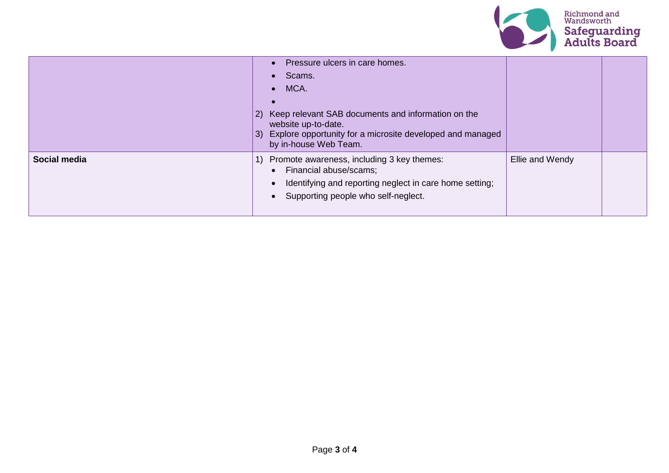

|              | Pressure ulcers in care homes.<br>Scams.<br>MCA.<br>$\bullet$<br>Keep relevant SAB documents and information on the<br>2)<br>website up-to-date.<br>Explore opportunity for a microsite developed and managed<br>3)<br>by in-house Web Team. |                 |  |
|--------------|----------------------------------------------------------------------------------------------------------------------------------------------------------------------------------------------------------------------------------------------|-----------------|--|
| Social media | Promote awareness, including 3 key themes:<br>H)<br>Financial abuse/scams;<br>$\bullet$<br>Identifying and reporting neglect in care home setting;<br>Supporting people who self-neglect.                                                    | Ellie and Wendy |  |